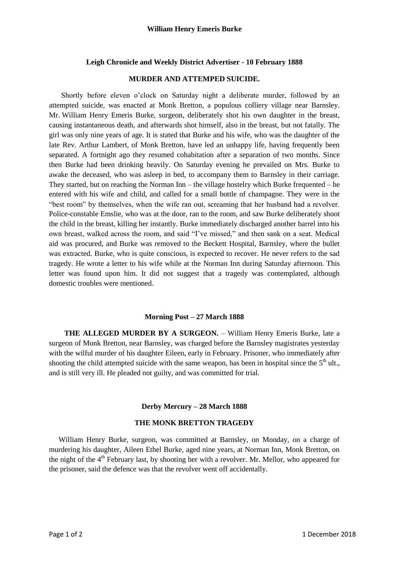## **Leigh Chronicle and Weekly District Advertiser - 10 February 1888**

## **MURDER AND ATTEMPED SUICIDE.**

Shortly before eleven o'clock on Saturday night a deliberate murder, followed by an attempted suicide, was enacted at Monk Bretton, a populous colliery village near Barnsley. Mr. William Henry Emeris Burke, surgeon, deliberately shot his own daughter in the breast, causing instantaneous death, and afterwards shot himself, also in the breast, but not fatally. The girl was only nine years of age. It is stated that Burke and his wife, who was the daughter of the late Rev. Arthur Lambert, of Monk Bretton, have led an unhappy life, having frequently been separated. A fortnight ago they resumed cohabitation after a separation of two months. Since then Burke had been drinking heavily. On Saturday evening he prevailed on Mrs. Burke to awake the deceased, who was asleep in bed, to accompany them to Barnsley in their carriage. They started, but on reaching the Norman  $\text{Inn}$  – the village hostelry which Burke frequented – he entered with his wife and child, and called for a small bottle of champagne. They were in the "best room" by themselves, when the wife ran out, screaming that her husband had a revolver. Police-constable Emslie, who was at the door, ran to the room, and saw Burke deliberately shoot the child in the breast, killing her instantly. Burke immediately discharged another barrel into his own breast, walked across the room, and said "I've missed," and then sank on a seat. Medical aid was procured, and Burke was removed to the Beckett Hospital, Barnsley, where the bullet was extracted. Burke, who is quite conscious, is expected to recover. He never refers to the sad tragedy. He wrote a letter to his wife while at the Norman Inn during Saturday afternoon. This letter was found upon him. It did not suggest that a tragedy was contemplated, although domestic troubles were mentioned.

## **Morning Post – 27 March 1888**

**THE ALLEGED MURDER BY A SURGEON.** – William Henry Emeris Burke, late a surgeon of Monk Bretton, near Barnsley, was charged before the Barnsley magistrates yesterday with the wilful murder of his daughter Eileen, early in February. Prisoner, who immediately after shooting the child attempted suicide with the same weapon, has been in hospital since the  $5<sup>th</sup>$  ult., and is still very ill. He pleaded not guilty, and was committed for trial.

## **Derby Mercury – 28 March 1888**

# **THE MONK BRETTON TRAGEDY**

William Henry Burke, surgeon, was committed at Barnsley, on Monday, on a charge of murdering his daughter, Aileen Ethel Burke, aged nine years, at Norman Inn, Monk Bretton, on the night of the 4<sup>th</sup> February last, by shooting her with a revolver. Mr. Mellor, who appeared for the prisoner, said the defence was that the revolver went off accidentally.